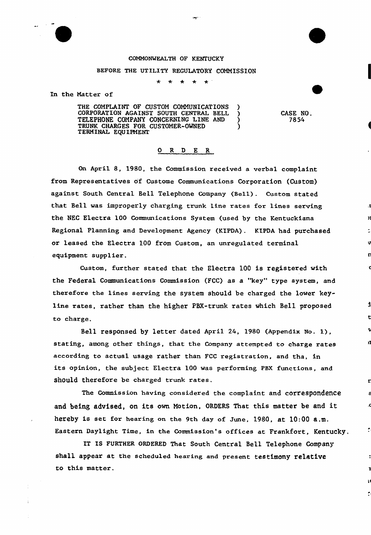#### COMMONWEALTH OF KENTUCKY

### BEFORE THE UTILITY REGULATORY COMMISSION

 $\star$  $\star$ 

In the Natter of

THE COMPLAINT OF CUSTOM COMMUNICATIONS )<br>CORPORATION AGAINST SOUTH CENTRAL BELL ) CORPORATION AGAINST SOUTH CENTRAL BELL )<br>TELEPHONE COMPANY CONCERNING LINE AND TELEPHONE COMPANY CONCERNING LINE AND  $($ TRUNK CHARGES FOR CUSTOMER-OWNED ) TERMINAL EQUIPNENT

CASE NO. 7854

£.

 $\mathbf{I}$ 

 $\hat{\cdot}$ 

### 0 R <sup>D</sup> E R

On April 8, 1980, the Commission received a verbal complaint from Representatives of Custome Communications Corporation (Custom) against South Central Bell Telephone Company (Bell) . Custom stated that Bell was improperly charging trunk line rates for lines serving the NEC Electra 100 Communications System (used by the Kentuckiana Regional Planning and Development Agency (KIPDA). KIPDA had purchased or leased the Electra 100 from Custom, an unregulated terminal equipment supplier.

Custom, further stated that the Electra 100 is registered with the Federal Communications Commission (FCC) as a "key" type system, and therefore the lines serving the system should be charged the lower keyline rates, rather than the higher PBX-trunk rates which Bell pxoposed to chaxge.

Bell responsed by letter dated April 24, 1980 (Appendix No. 1), stating, among other things, that the Company attempted to charge rates according to actual usage rather than FCC registration, and tha, in its opinion, the subject Electra 100 was performing PBX functions, and should therefore be charged trunk rates.

The Commission having considered the complaint and correspondenCe and being advised, on its own Motion, ORDERS That this matter be and it hereby is set for hearing on the 9th day of June, 1980, at 10:00 a.m. Eastern Daylight Time, in the Commission's offices at Frankfort, Kentucky.

IT IS FURTHER ORDERED That South Central Bell Telephone Company shall appear at the scheduled hearing and present testimony relative to this matter.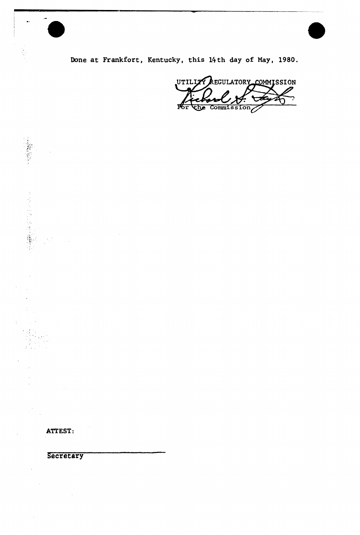Done at Frankfort, Kentucky, this 14th day of May, 1980.

UTILIZY REGULATORY COMMISSION  $\overline{\text{the Commission}}$ 

ATTEST:

 $\ddot{\phantom{0}}$ 

 $\ddot{\phantom{a}}$ 

"一个人"

医生态医病毒 医囊膜炎

 $\mathbb{R}^2_+$ 

 $\hat{\boldsymbol{\beta}}$ 

 $\bar{\bar{z}}$ 

 $\mathcal{A}$ 

Secretary

 $\mathcal{A}_\mathrm{c}$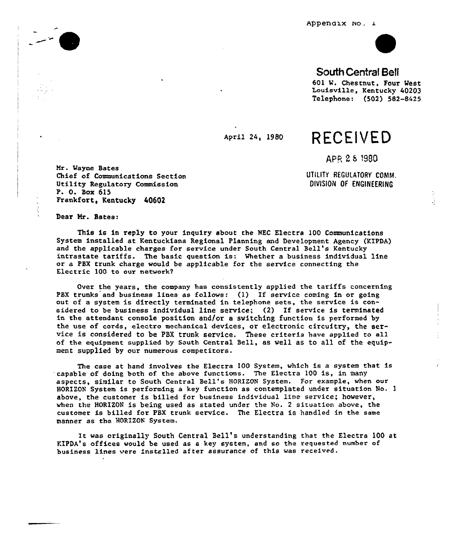Appendix No. 1



## South Central Betl

601 W. Chestnut, Four West Louisville, Kentucky 40203 Te1ephone: (502) 582-8425

# April 24, 1980 RECEIVED

APR 2-8-1980

UTILITY REGULATORY COMM. DIYISION OF ENGINEERING

Hr. Wayne Bates Chief of Communications Section Utility Regulatory Commission P. 0. Box 615 Frankfort, Kentucky 40602

Dear Mr. Bates:

This is in reply to your inquiry about the NEC Electra 100 Communications System installed at Kentuckiana Regional Planning and Development Agency (KIPDA) and the applicable charges for service under South Central Bell's Kentucky intrastate tariffs. The basic question is: Whether a business individual line or a PBX trunk charge would be applicable for the service connecting the Electric 100 to our network2

Over the years, the company has consistently applied the tariffs concerning PBX trunks and business lines as follows: (1) If service coming in or going out of a system is directly terminated in telephone sets, the service is considered to be business individual line service; (2) If service is terminated in the attendant console position and/or a switching function is performed by the use of cords, electro mechanical devices, or electronic circuitry, the service is considered to be PBX trunk service. These criteria have applied to all of the equipment supplied by South Central Bell, as well as to all of the equipment supplied by our numerous competitors.

The case at hand involves the Elecrra 100 System, which is a system that is 'capable of doing both of. the above functions. The Electra 100 is, in many aspects, similar to South Central Bell's HORIZON System. For example, when our HORIZON System is performing a key function as contemplated under situation No. <sup>1</sup> above, the customer is billed for business individual Line service; however, when the HORIZON is being used as stated under the No. <sup>2</sup> situation above, the customer is billed for PBX trunk service. The Electra is handled in the same manner as the HORIZON System.

It was originally South Central Bell's understanding that the Electra <sup>100</sup> at YIPDA's offices would be used as a key system, and so the requested number of business lines were installed after assurance of this was received.